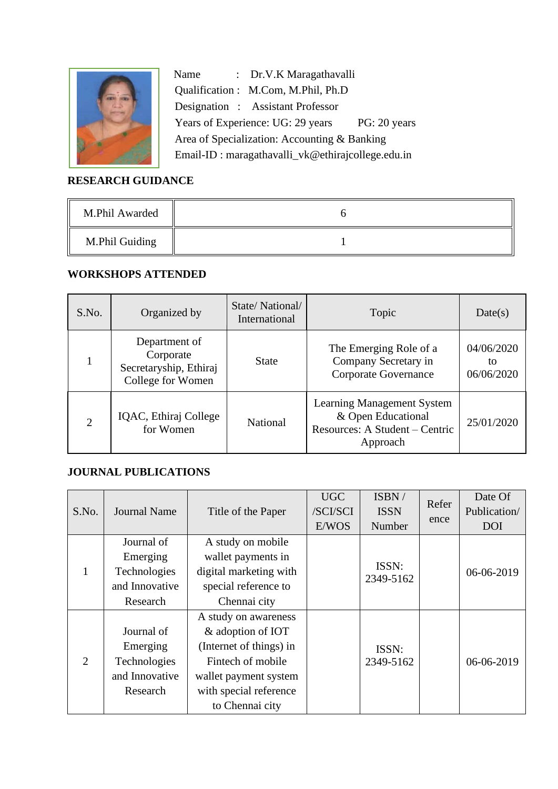

Name : Dr.V.K Maragathavalli Qualification : M.Com, M.Phil, Ph.D Designation : Assistant Professor Years of Experience: UG: 29 years PG: 20 years Area of Specialization: Accounting & Banking Email-ID : maragathavalli\_vk@ethirajcollege.edu.in

# **RESEARCH GUIDANCE**

| M.Phil Awarded |  |
|----------------|--|
| M.Phil Guiding |  |

## **WORKSHOPS ATTENDED**

| S.No.                       | Organized by                                                              | State/National/<br>International | Topic                                                                                                 | Date(s)                        |
|-----------------------------|---------------------------------------------------------------------------|----------------------------------|-------------------------------------------------------------------------------------------------------|--------------------------------|
|                             | Department of<br>Corporate<br>Secretaryship, Ethiraj<br>College for Women | <b>State</b>                     | The Emerging Role of a<br>Company Secretary in<br>Corporate Governance                                | 04/06/2020<br>to<br>06/06/2020 |
| $\mathcal{D}_{\mathcal{A}}$ | IQAC, Ethiraj College<br>for Women                                        | National                         | <b>Learning Management System</b><br>& Open Educational<br>Resources: A Student – Centric<br>Approach | 25/01/2020                     |

### **JOURNAL PUBLICATIONS**

|       |                     |                         | <b>UGC</b> | ISBN/              | Refer | Date Of      |
|-------|---------------------|-------------------------|------------|--------------------|-------|--------------|
| S.No. | <b>Journal Name</b> | Title of the Paper      | /SCI/SCI   | <b>ISSN</b>        |       | Publication/ |
|       |                     |                         | E/WOS      | Number             | ence  | <b>DOI</b>   |
|       | Journal of          | A study on mobile       |            |                    |       |              |
|       | Emerging            | wallet payments in      |            |                    |       | 06-06-2019   |
|       | Technologies        | digital marketing with  |            | ISSN:<br>2349-5162 |       |              |
|       | and Innovative      | special reference to    |            |                    |       |              |
|       | Research            | Chennai city            |            |                    |       |              |
|       |                     | A study on awareness    |            |                    |       |              |
| 2     | Journal of          | & adoption of IOT       |            |                    |       |              |
|       | Emerging            | (Internet of things) in | ISSN:      |                    |       |              |
|       | Technologies        | Fintech of mobile       |            | 2349-5162          |       | 06-06-2019   |
|       | and Innovative      | wallet payment system   |            |                    |       |              |
|       | Research            | with special reference  |            |                    |       |              |
|       |                     | to Chennai city         |            |                    |       |              |